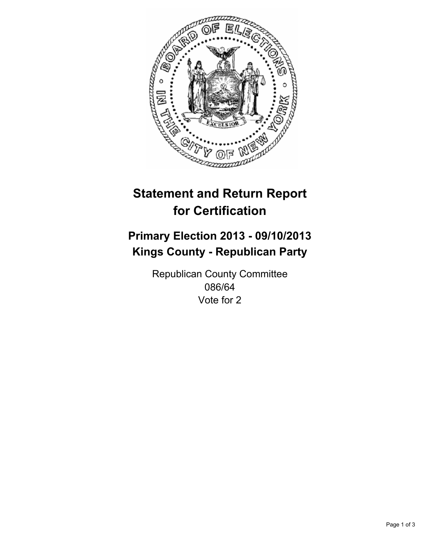

# **Statement and Return Report for Certification**

## **Primary Election 2013 - 09/10/2013 Kings County - Republican Party**

Republican County Committee 086/64 Vote for 2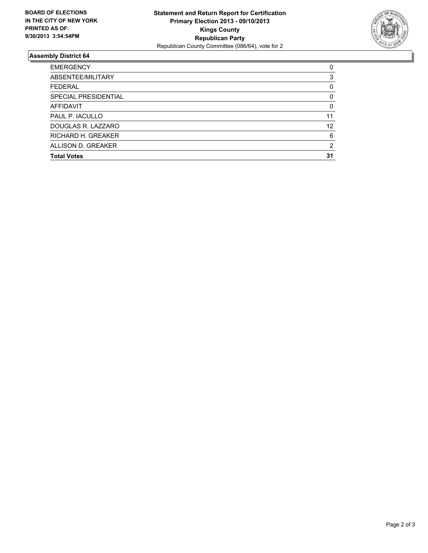

### **Assembly District 64**

| <b>EMERGENCY</b>     | 0  |
|----------------------|----|
| ABSENTEE/MILITARY    | 3  |
| <b>FEDERAL</b>       | 0  |
| SPECIAL PRESIDENTIAL | 0  |
| <b>AFFIDAVIT</b>     | 0  |
| PAUL P. IACULLO      | 11 |
| DOUGLAS R. LAZZARO   | 12 |
| RICHARD H. GREAKER   | 6  |
| ALLISON D. GREAKER   | 2  |
| <b>Total Votes</b>   | 31 |